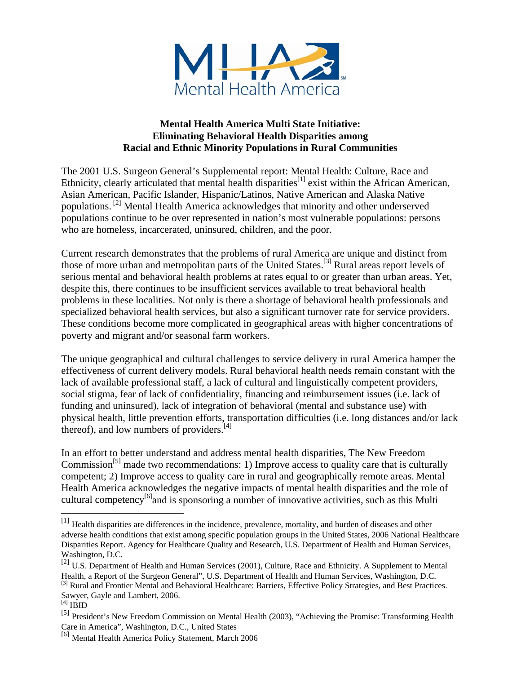

#### **Mental Health America Multi State Initiative: Eliminating Behavioral Health Disparities among Racial and Ethnic Minority Populations in Rural Communities**

The 2001 U.S. Surgeon General's Supplemental report: Mental Health: Culture, Race and Ethnicity, clearly articulated that mental health disparities $^{[1]}$  exist within the African American, Asian American, Pacific Islander, Hispanic/Latinos, Native American and Alaska Native populations. [2] Mental Health America acknowledges that minority and other underserved populations continue to be over represented in nation's most vulnerable populations: persons who are homeless, incarcerated, uninsured, children, and the poor.

Current research demonstrates that the problems of rural America are unique and distinct from those of more urban and metropolitan parts of the United States.[3] Rural areas report levels of serious mental and behavioral health problems at rates equal to or greater than urban areas. Yet, despite this, there continues to be insufficient services available to treat behavioral health problems in these localities. Not only is there a shortage of behavioral health professionals and specialized behavioral health services, but also a significant turnover rate for service providers. These conditions become more complicated in geographical areas with higher concentrations of poverty and migrant and/or seasonal farm workers.

The unique geographical and cultural challenges to service delivery in rural America hamper the effectiveness of current delivery models. Rural behavioral health needs remain constant with the lack of available professional staff, a lack of cultural and linguistically competent providers, social stigma, fear of lack of confidentiality, financing and reimbursement issues (i.e. lack of funding and uninsured), lack of integration of behavioral (mental and substance use) with physical health, little prevention efforts, transportation difficulties (i.e. long distances and/or lack thereof), and low numbers of providers. $[4]$ 

In an effort to better understand and address mental health disparities, The New Freedom Commission<sup>[5]</sup> made two recommendations: 1) Improve access to quality care that is culturally competent; 2) Improve access to quality care in rural and geographically remote areas. Mental Health America acknowledges the negative impacts of mental health disparities and the role of cultural competency<sup>[6]</sup>and is sponsoring a number of innovative activities, such as this Multi

1

<sup>&</sup>lt;sup>[1]</sup> Health disparities are differences in the incidence, prevalence, mortality, and burden of diseases and other adverse health conditions that exist among specific population groups in the United States, 2006 National Healthcare Disparities Report. Agency for Healthcare Quality and Research, U.S. Department of Health and Human Services, Washington, D.C.

<sup>&</sup>lt;sup>[2]</sup> U.S. Department of Health and Human Services (2001), Culture, Race and Ethnicity. A Supplement to Mental Health, a Report of the Surgeon General", U.S. Department of Health and Human Services, Washington, D.C. <sup>[3]</sup> Rural and Frontier Mental and Behavioral Healthcare: Barriers, Effective Policy Strategies, and Best Practices.

Sawyer, Gayle and Lambert, 2006.

 $^{[4]}$  IBID

<sup>[5]</sup> President's New Freedom Commission on Mental Health (2003), "Achieving the Promise: Transforming Health Care in America", Washington, D.C., United States

<sup>[6]</sup> Mental Health America Policy Statement, March 2006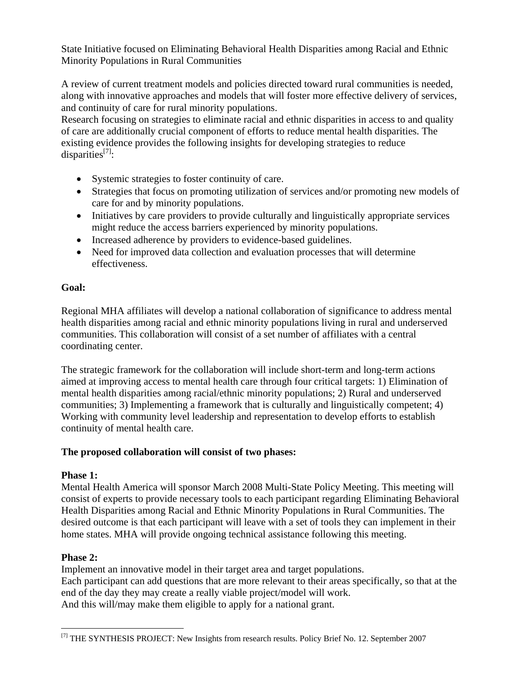State Initiative focused on Eliminating Behavioral Health Disparities among Racial and Ethnic Minority Populations in Rural Communities

A review of current treatment models and policies directed toward rural communities is needed, along with innovative approaches and models that will foster more effective delivery of services, and continuity of care for rural minority populations.

Research focusing on strategies to eliminate racial and ethnic disparities in access to and quality of care are additionally crucial component of efforts to reduce mental health disparities. The existing evidence provides the following insights for developing strategies to reduce disparities $^{[7]}$ :

- Systemic strategies to foster continuity of care.
- Strategies that focus on promoting utilization of services and/or promoting new models of care for and by minority populations.
- Initiatives by care providers to provide culturally and linguistically appropriate services might reduce the access barriers experienced by minority populations.
- Increased adherence by providers to evidence-based guidelines.
- Need for improved data collection and evaluation processes that will determine effectiveness.

## **Goal:**

Regional MHA affiliates will develop a national collaboration of significance to address mental health disparities among racial and ethnic minority populations living in rural and underserved communities. This collaboration will consist of a set number of affiliates with a central coordinating center.

The strategic framework for the collaboration will include short-term and long-term actions aimed at improving access to mental health care through four critical targets: 1) Elimination of mental health disparities among racial/ethnic minority populations; 2) Rural and underserved communities; 3) Implementing a framework that is culturally and linguistically competent; 4) Working with community level leadership and representation to develop efforts to establish continuity of mental health care.

### **The proposed collaboration will consist of two phases:**

# **Phase 1:**

Mental Health America will sponsor March 2008 Multi-State Policy Meeting. This meeting will consist of experts to provide necessary tools to each participant regarding Eliminating Behavioral Health Disparities among Racial and Ethnic Minority Populations in Rural Communities. The desired outcome is that each participant will leave with a set of tools they can implement in their home states. MHA will provide ongoing technical assistance following this meeting.

# **Phase 2:**

 $\overline{a}$ 

Implement an innovative model in their target area and target populations. Each participant can add questions that are more relevant to their areas specifically, so that at the end of the day they may create a really viable project/model will work. And this will/may make them eligible to apply for a national grant.

<sup>&</sup>lt;sup>[7]</sup> THE SYNTHESIS PROJECT: New Insights from research results. Policy Brief No. 12. September 2007